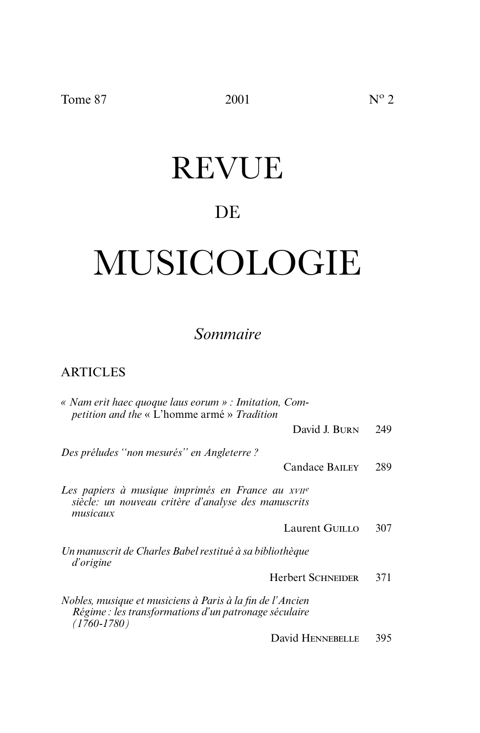# REVUE

### DE

# MUSICOLOGIE

### *Sommaire*

### ARTICLES

| « Nam erit haec quoque laus eorum » : Imitation, Com-<br>petition and the « L'homme armé » Tradition                                  |     |
|---------------------------------------------------------------------------------------------------------------------------------------|-----|
| David J. BURN                                                                                                                         | 249 |
| Des préludes "non mesurés" en Angleterre ?                                                                                            |     |
| Candace BAILEY                                                                                                                        | 289 |
| Les papiers à musique imprimés en France au xvile<br>siècle: un nouveau critère d'analyse des manuscrits<br>musicaux                  |     |
| Laurent GUILLO                                                                                                                        | 307 |
| Un manuscrit de Charles Babel restitué à sa bibliothèque<br>d'origine                                                                 |     |
| <b>Herbert SCHNEIDER</b>                                                                                                              | 371 |
| Nobles, musique et musiciens à Paris à la fin de l'Ancien<br>Régime : les transformations d'un patronage séculaire<br>$(1760 - 1780)$ |     |
| David HENNEBELLE                                                                                                                      | 395 |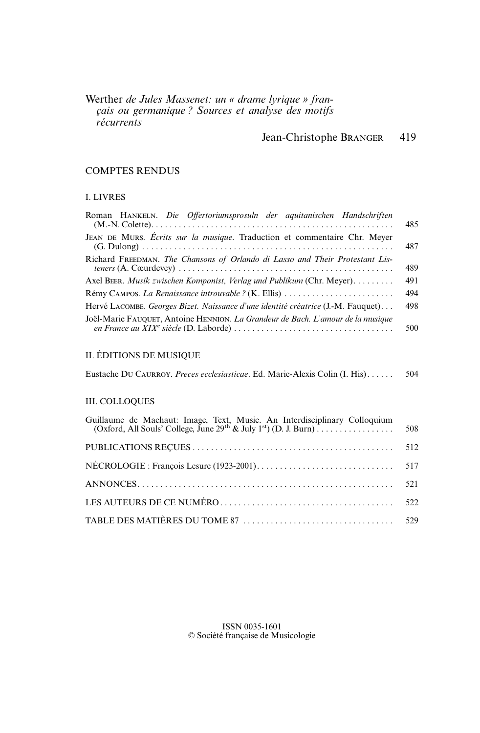Werther *de Jules Massenet: un « drame lyrique » français ou germanique ? Sources et analyse des motifs récurrents*

### Jean-Christophe BRANGER 419

### COMPTES RENDUS

### I. LIVRES

| Roman HANKELN. Die Offertoriumsprosuln der aquitanischen Handschriften           | 485 |
|----------------------------------------------------------------------------------|-----|
| JEAN DE MURS. Écrits sur la musique. Traduction et commentaire Chr. Meyer        | 487 |
| Richard FREEDMAN. The Chansons of Orlando di Lasso and Their Protestant Lis-     | 489 |
| Axel BEER. Musik zwischen Komponist, Verlag und Publikum (Chr. Meyer)            | 491 |
|                                                                                  | 494 |
| Hervé LACOMBE. Georges Bizet. Naissance d'une identité créatrice (J.-M. Fauquet) | 498 |
| Joël-Marie FAUQUET, Antoine HENNION. La Grandeur de Bach. L'amour de la musique  | 500 |
| II. ÉDITIONS DE MUSIQUE                                                          |     |
| Eustache DU CAURROY. Preces ecclesiasticae. Ed. Marie-Alexis Colin (I. His)      | 504 |
| <b>III. COLLOQUES</b>                                                            |     |
| Guillaume de Machaut: Image Text Music An Interdisciplinary Colloquium           |     |

ISSN 0035-1601 © Société française de Musicologie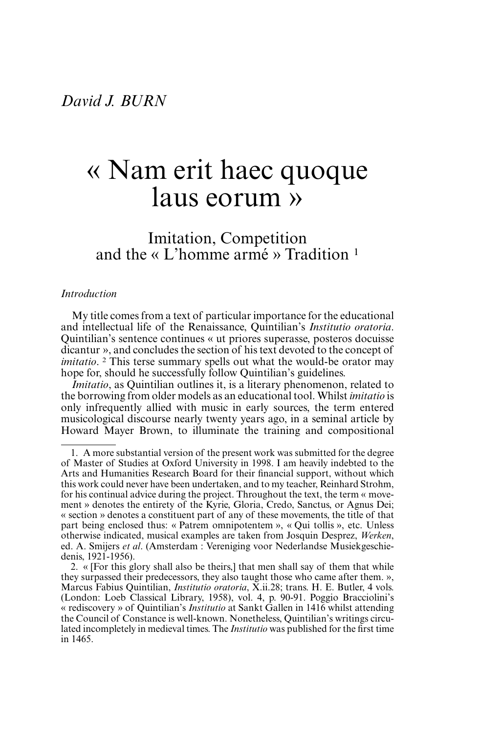### « Nam erit haec quoque laus eorum »

Imitation, Competition and the « L'homme armé » Tradition <sup>1</sup>

#### *Introduction*

My title comes from a text of particular importance for the educational and intellectual life of the Renaissance, Quintilian's *Institutio oratoria*. Quintilian's sentence continues « ut priores superasse, posteros docuisse dicantur », and concludes the section of his text devoted to the concept of *imitatio*. <sup>2</sup> This terse summary spells out what the would-be orator may hope for, should he successfully follow Quintilian's guidelines.

*Imitatio*, as Quintilian outlines it, is a literary phenomenon, related to the borrowing from older models as an educational tool. Whilst *imitatio* is only infrequently allied with music in early sources, the term entered musicological discourse nearly twenty years ago, in a seminal article by Howard Mayer Brown, to illuminate the training and compositional

<sup>1.</sup> A more substantial version of the present work was submitted for the degree of Master of Studies at Oxford University in 1998. I am heavily indebted to the Arts and Humanities Research Board for their financial support, without which this work could never have been undertaken, and to my teacher, Reinhard Strohm, for his continual advice during the project. Throughout the text, the term « movement » denotes the entirety of the Kyrie, Gloria, Credo, Sanctus, or Agnus Dei; « section » denotes a constituent part of any of these movements, the title of that part being enclosed thus: « Patrem omnipotentem », « Qui tollis », etc. Unless otherwise indicated, musical examples are taken from Josquin Desprez, *Werken*, ed. A. Smijers *et al*. (Amsterdam : Vereniging voor Nederlandse Musiekgeschiedenis, 1921-1956).

<sup>2. « [</sup>For this glory shall also be theirs,] that men shall say of them that while they surpassed their predecessors, they also taught those who came after them. », Marcus Fabius Quintilian, *Institutio oratoria*, X.ii.28; trans. H. E. Butler, 4 vols. (London: Loeb Classical Library, 1958), vol. 4, p. 90-91. Poggio Bracciolini's « rediscovery » of Quintilian's *Institutio* at Sankt Gallen in 1416 whilst attending the Council of Constance is well-known. Nonetheless, Quintilian's writings circulated incompletely in medieval times. The *Institutio* was published for the first time in 1465.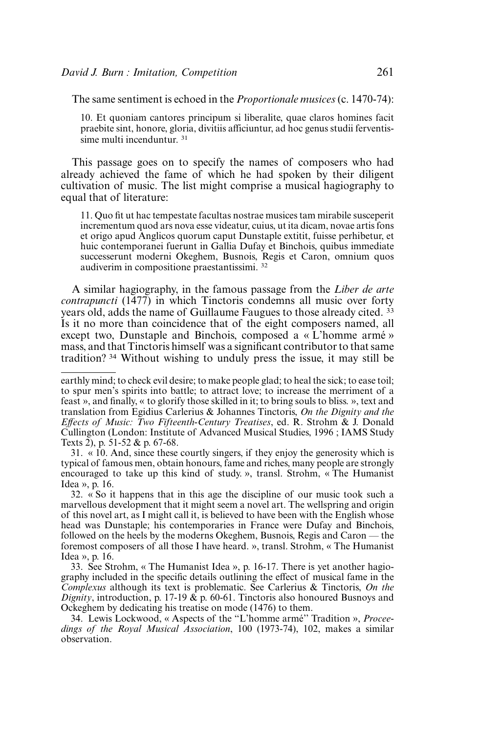The same sentiment is echoed in the *Proportionale musices* (c. 1470-74):

10. Et quoniam cantores principum si liberalite, quae claros homines facit praebite sint, honore, gloria, divitiis afficiuntur, ad hoc genus studii ferventissime multi incenduntur. <sup>31</sup>

This passage goes on to specify the names of composers who had already achieved the fame of which he had spoken by their diligent cultivation of music. The list might comprise a musical hagiography to equal that of literature:

11. Quo fit ut hac tempestate facultas nostrae musices tam mirabile susceperit incrementum quod ars nova esse videatur, cuius, ut ita dicam, novae artis fons et origo apud Anglicos quorum caput Dunstaple extitit, fuisse perhibetur, et huic contemporanei fuerunt in Gallia Dufay et Binchois, quibus immediate successerunt moderni Okeghem, Busnois, Regis et Caron, omnium quos audiverim in compositione praestantissimi. <sup>32</sup>

A similar hagiography, in the famous passage from the *Liber de arte contrapuncti* (1477) in which Tinctoris condemns all music over forty years old, adds the name of Guillaume Faugues to those already cited. <sup>33</sup> Is it no more than coincidence that of the eight composers named, all except two, Dunstaple and Binchois, composed a « L'homme armé » mass, and that Tinctoris himself was a significant contributor to that same tradition? <sup>34</sup> Without wishing to unduly press the issue, it may still be

31. « 10. And, since these courtly singers, if they enjoy the generosity which is typical of famous men, obtain honours, fame and riches, many people are strongly encouraged to take up this kind of study. », transl. Strohm, « The Humanist Idea », p. 16.

32.  $\overline{\text{A}}$  So it happens that in this age the discipline of our music took such a marvellous development that it might seem a novel art. The wellspring and origin of this novel art, as I might call it, is believed to have been with the English whose head was Dunstaple; his contemporaries in France were Dufay and Binchois, followed on the heels by the moderns Okeghem, Busnois, Regis and Caron — the foremost composers of all those I have heard. », transl. Strohm, « The Humanist Idea », p. 16.

33. See Strohm, « The Humanist Idea », p. 16-17. There is yet another hagiography included in the specific details outlining the effect of musical fame in the *Complexus* although its text is problematic. See Carlerius & Tinctoris, *On the Dignity*, introduction, p. 17-19  $\&$  p. 60-61. Tinctoris also honoured Busnoys and Ockeghem by dedicating his treatise on mode (1476) to them.

34. Lewis Lockwood, « Aspects of the ''L'homme armé'' Tradition », *Proceedings of the Royal Musical Association*, 100 (1973-74), 102, makes a similar observation.

earthly mind; to check evil desire; to make people glad; to heal the sick; to ease toil; to spur men's spirits into battle; to attract love; to increase the merriment of a feast », and finally, « to glorify those skilled in it; to bring souls to bliss. », text and translation from Egidius Carlerius & Johannes Tinctoris, *On the Dignity and the Effects of Music: Two Fifteenth-Century Treatises*, ed. R. Strohm & J. Donald Cullington (London: Institute of Advanced Musical Studies, 1996 ; IAMS Study Texts 2), p. 51-52 & p. 67-68.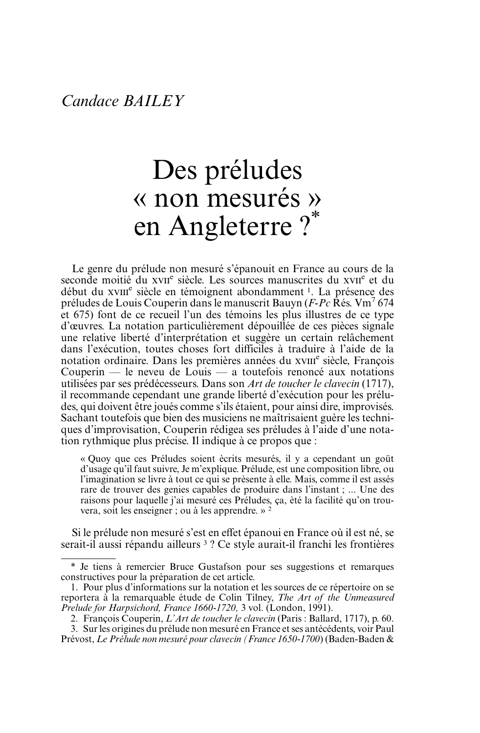## Des préludes « non mesurés » en Angleterre ?\*

Le genre du prélude non mesuré s'épanouit en France au cours de la seconde moitié du xvi<sup>e</sup> siècle. Les sources manuscrites du xvie et du début du xvIII<sup>e</sup> siècle en témoignent abondamment <sup>1</sup>. La présence des préludes de Louis Couperin dans le manuscrit Bauyn (*F-Pc* Rés. Vm7 674 et 675) font de ce recueil l'un des témoins les plus illustres de ce type d'œuvres. La notation particulièrement dépouillée de ces pièces signale une relative liberté d'interprétation et suggère un certain relâchement dans l'exécution, toutes choses fort difficiles à traduire à l'aide de la notation ordinaire. Dans les premières années du xville siècle, François Couperin — le neveu de Louis — a toutefois renoncé aux notations utilisées par ses prédécesseurs. Dans son *Art de toucher le clavecin* (1717), il recommande cependant une grande liberté d'exécution pour les préludes, qui doivent être joués comme s'ils étaient, pour ainsi dire, improvisés. Sachant toutefois que bien des musiciens ne maîtrisaient guère les techniques d'improvisation, Couperin rédigea ses préludes à l'aide d'une notation rythmique plus précise. Il indique à ce propos que :

« Quoy que ces Préludes soient ècrits mesurés, il y a cependant un goüt d'usage qu'il faut suivre, Je m'explique. Prélude, est une composition libre, ou l'imagination se livre à tout ce qui se prèsente à elle. Mais, comme il est assés rare de trouver des genies capables de produire dans l'instant ; ... Une des raisons pour laquelle j'ai mesuré ces Préludes, ça, èté la facilité qu'on trouvera, soit les enseigner ; ou à les apprendre. » <sup>2</sup>

Si le prélude non mesuré s'est en effet épanoui en France où il est né, se serait-il aussi répandu ailleurs<sup>3</sup>? Ce style aurait-il franchi les frontières

<sup>\*</sup> Je tiens à remercier Bruce Gustafson pour ses suggestions et remarques constructives pour la préparation de cet article.

<sup>1.</sup> Pour plus d'informations sur la notation et les sources de ce répertoire on se reportera à la remarquable étude de Colin Tilney, *The Art of the Unmeasured Prelude for Harpsichord, France 1660-1720,* 3 vol. (London, 1991).

<sup>2.</sup> François Couperin, *L'Art de toucher le clavecin* (Paris : Ballard, 1717), p. 60.

<sup>3.</sup> Sur les origines du prélude non mesuré en France et ses antécédents, voir Paul Prévost, *Le Prélude non mesuré pour clavecin (France 1650-1700*) (Baden-Baden &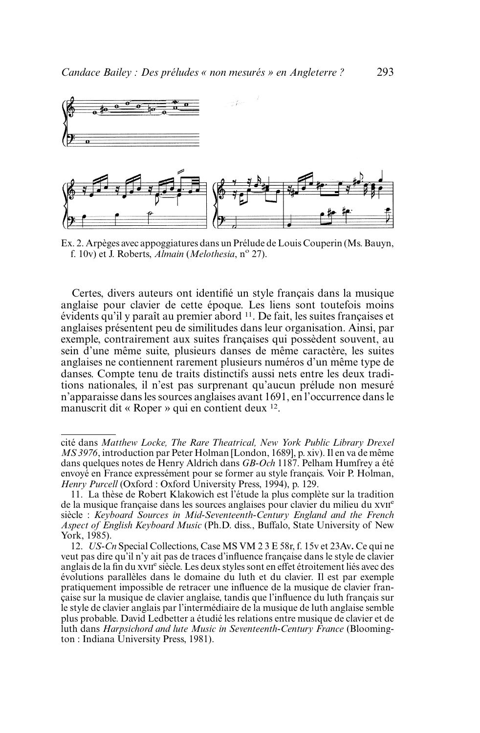

Ex. 2. Arpèges avec appoggiatures dans un Prélude de Louis Couperin (Ms. Bauyn, f. 10v) et J. Roberts, *Almain* (*Melothesia*, n<sup>o</sup> 27).

Certes, divers auteurs ont identifié un style français dans la musique anglaise pour clavier de cette époque. Les liens sont toutefois moins évidents qu'il y paraît au premier abord 11. De fait, les suites françaises et anglaises présentent peu de similitudes dans leur organisation. Ainsi, par exemple, contrairement aux suites françaises qui possèdent souvent, au sein d'une même suite, plusieurs danses de même caractère, les suites anglaises ne contiennent rarement plusieurs numéros d'un même type de danses. Compte tenu de traits distinctifs aussi nets entre les deux traditions nationales, il n'est pas surprenant qu'aucun prélude non mesuré n'apparaisse dans les sources anglaises avant 1691, en l'occurrence dans le manuscrit dit « Roper » qui en contient deux 12.

cité dans *Matthew Locke, The Rare Theatrical, New York Public Library Drexel MS 3976*, introduction par Peter Holman [London, 1689], p. xiv). Il en va de même dans quelques notes de Henry Aldrich dans *GB-Och* 1187. Pelham Humfrey a été envoyé en France expressément pour se former au style français. Voir P. Holman, *Henry Purcell* (Oxford : Oxford University Press, 1994), p. 129.

<sup>11.</sup> La thèse de Robert Klakowich est l'étude la plus complète sur la tradition de la musique française dans les sources anglaises pour clavier du milieu du xvII<sup>e</sup> siècle : *Keyboard Sources in Mid-Seventeenth-Century England and the French Aspect of English Keyboard Music* (Ph.D. diss., Buffalo, State University of New York, 1985).

<sup>12.</sup> *US-Cn* Special Collections, Case MS VM 2 3 E 58r, f. 15v et 23Av**.** Ce qui ne veut pas dire qu'il n'y ait pas de traces d'influence française dans le style de clavier anglais de la fin du xvII<sup>e</sup> siècle. Les deux styles sont en effet étroitement liés avec des évolutions parallèles dans le domaine du luth et du clavier. Il est par exemple pratiquement impossible de retracer une influence de la musique de clavier française sur la musique de clavier anglaise, tandis que l'influence du luth français sur le style de clavier anglais par l'intermédiaire de la musique de luth anglaise semble plus probable. David Ledbetter a étudié les relations entre musique de clavier et de luth dans *Harpsichord and lute Music in Seventeenth-Century France* (Bloomington : Indiana University Press, 1981).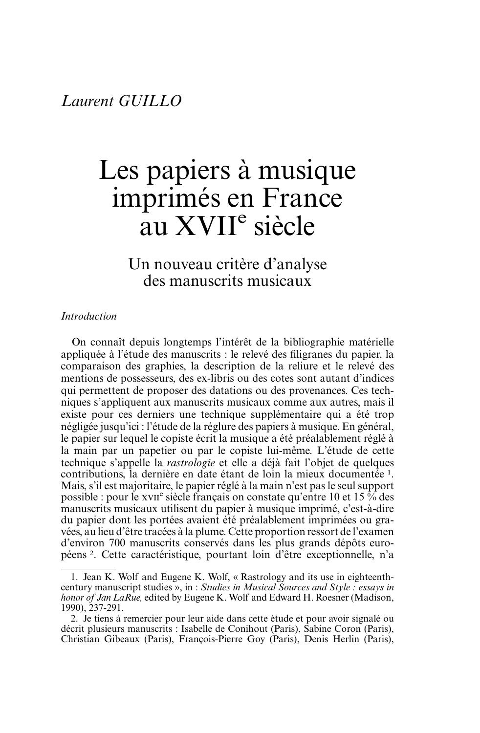### Les papiers à musique imprimés en France au XVII<sup>e</sup> siècle

Un nouveau critère d'analyse des manuscrits musicaux

#### *Introduction*

On connaît depuis longtemps l'intérêt de la bibliographie matérielle appliquée à l'étude des manuscrits : le relevé des filigranes du papier, la comparaison des graphies, la description de la reliure et le relevé des mentions de possesseurs, des ex-libris ou des cotes sont autant d'indices qui permettent de proposer des datations ou des provenances. Ces techniques s'appliquent aux manuscrits musicaux comme aux autres, mais il existe pour ces derniers une technique supplémentaire qui a été trop négligée jusqu'ici : l'étude de la réglure des papiers à musique. En général, le papier sur lequel le copiste écrit la musique a été préalablement réglé à la main par un papetier ou par le copiste lui-même. L'étude de cette technique s'appelle la *rastrologie* et elle a déjà fait l'objet de quelques contributions, la dernière en date étant de loin la mieux documentée 1. Mais, s'il est majoritaire, le papier réglé à la main n'est pas le seul support possible : pour le xvie siècle français on constate qu'entre 10 et 15  $\frac{6}{6}$  des manuscrits musicaux utilisent du papier à musique imprimé, c'est-à-dire du papier dont les portées avaient été préalablement imprimées ou gravées, au lieu d'être tracées à la plume. Cette proportion ressort de l'examen d'environ 700 manuscrits conservés dans les plus grands dépôts européens 2. Cette caractéristique, pourtant loin d'être exceptionnelle, n'a

<sup>1.</sup> Jean K. Wolf and Eugene K. Wolf, « Rastrology and its use in eighteenthcentury manuscript studies », in : *Studies in Musical Sources and Style : essays in honor of Jan LaRue,* edited by Eugene K. Wolf and Edward H. Roesner (Madison, 1990), 237-291.

<sup>2.</sup> Je tiens à remercier pour leur aide dans cette étude et pour avoir signalé ou décrit plusieurs manuscrits : Isabelle de Conihout (Paris), Sabine Coron (Paris), Christian Gibeaux (Paris), François-Pierre Goy (Paris), Denis Herlin (Paris),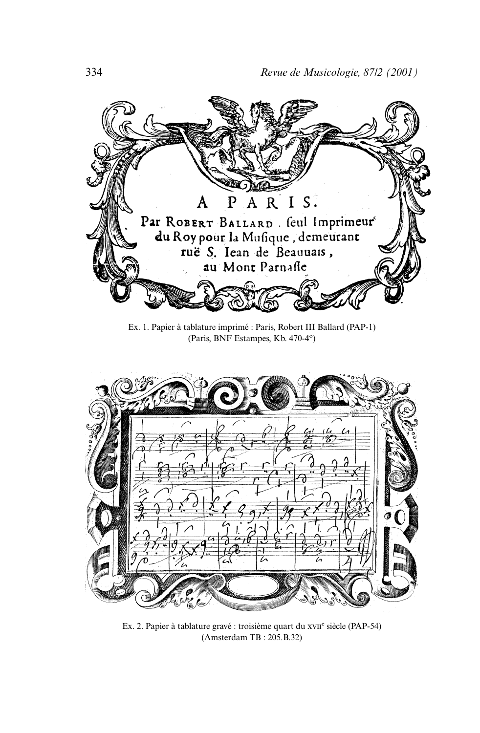

Ex. 1. Papier à tablature imprimé : Paris, Robert III Ballard (PAP-1) (Paris, BNF Estampes, Kb. 470-4°)



Ex. 2. Papier à tablature gravé : troisième quart du xvII<sup>e</sup> siècle (PAP-54) (Amsterdam TB : 205.B.32)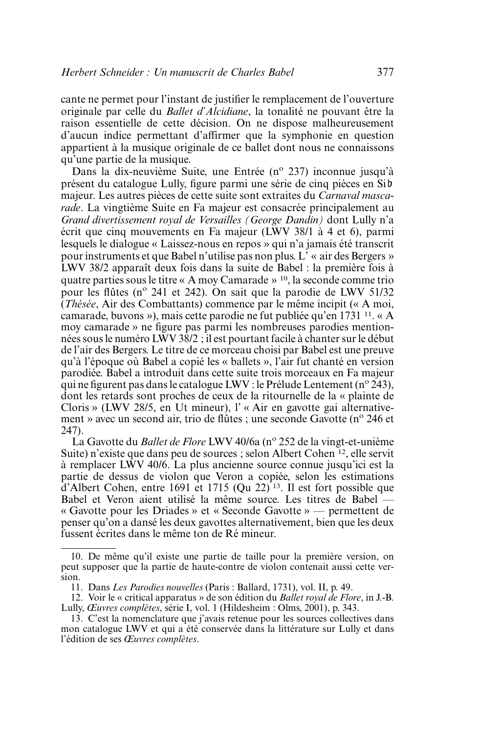cante ne permet pour l'instant de justifier le remplacement de l'ouverture originale par celle du *Ballet d'Alcidiane*, la tonalité ne pouvant être la raison essentielle de cette décision. On ne dispose malheureusement d'aucun indice permettant d'affirmer que la symphonie en question appartient à la musique originale de ce ballet dont nous ne connaissons qu'une partie de la musique.

Dans la dix-neuvième Suite, une Entrée (n<sup>o</sup> 237) inconnue jusqu'à présent du catalogue Lully, figure parmi une série de cinq pièces en Sib majeur. Les autres pièces de cette suite sont extraites du *Carnaval mascarade*. La vingtième Suite en Fa majeur est consacrée principalement au *Grand divertissement royal de Versailles (George Dandin)* dont Lully n'a écrit que cinq mouvements en Fa majeur (LWV 38/1 à 4 et 6), parmi lesquels le dialogue « Laissez-nous en repos » qui n'a jamais été transcrit pour instruments et que Babel n'utilise pas non plus. L' « air des Bergers » LWV 38/2 apparaît deux fois dans la suite de Babel : la première fois à quatre parties sous le titre « A moy Camarade » 10, la seconde comme trio pour les flûtes (n<sup>o</sup> 241 et 242). On sait que la parodie de LWV 51/32 (*Thésée*, Air des Combattants) commence par le même incipit (« A moi, camarade, buvons »), mais cette parodie ne fut publiée qu'en 1731 11. « A moy camarade » ne figure pas parmi les nombreuses parodies mentionnées sous le numéro LWV 38/2 ; il est pourtant facile à chanter sur le début de l'air des Bergers. Le titre de ce morceau choisi par Babel est une preuve qu'à l'époque où Babel a copié les « ballets », l'air fut chanté en version parodiée. Babel a introduit dans cette suite trois morceaux en Fa majeur qui ne figurent pas dans le catalogue LWV : le Prélude Lentement (n<sup>o</sup> 243), dont les retards sont proches de ceux de la ritournelle de la « plainte de Cloris » (LWV 28/5, en Ut mineur), l' « Air en gavotte gai alternativement » avec un second air, trio de flûtes ; une seconde Gavotte (n<sup>o</sup> 246 et 247).

La Gavotte du *Ballet de Flore* LWV 40/6a (nº 252 de la vingt-et-unième Suite) n'existe que dans peu de sources ; selon Albert Cohen 12, elle servit à remplacer LWV 40/6. La plus ancienne source connue jusqu'ici est la partie de dessus de violon que Veron a copiée, selon les estimations  $d'$ Albert Cohen, entre 1691 et 1715 (Qu 22)<sup>13</sup>. Il est fort possible que Babel et Veron aient utilisé la même source. Les titres de Babel « Gavotte pour les Driades » et « Seconde Gavotte » — permettent de penser qu'on a dansé les deux gavottes alternativement, bien que les deux fussent écrites dans le même ton de Ré mineur.

<sup>10.</sup> De même qu'il existe une partie de taille pour la première version, on peut supposer que la partie de haute-contre de violon contenait aussi cette version.

<sup>11.</sup> Dans *Les Parodies nouvelles* (Paris : Ballard, 1731), vol. II, p. 49.

<sup>12.</sup> Voir le « critical apparatus » de son édition du *Ballet royal de Flore*, in J.-B. Lully, *Œuvres complètes*, série I, vol. 1 (Hildesheim : Olms, 2001), p. 343.

<sup>13.</sup> C'est la nomenclature que j'avais retenue pour les sources collectives dans mon catalogue LWV et qui a été conservée dans la littérature sur Lully et dans l'édition de ses *Œuvres complètes*.